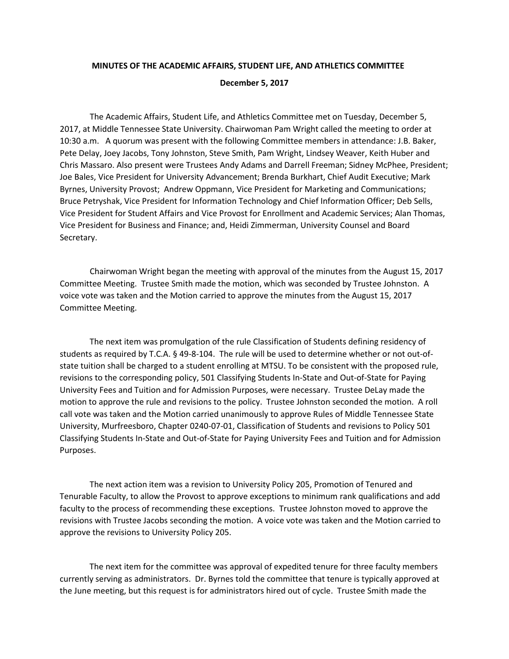## **MINUTES OF THE ACADEMIC AFFAIRS, STUDENT LIFE, AND ATHLETICS COMMITTEE December 5, 2017**

The Academic Affairs, Student Life, and Athletics Committee met on Tuesday, December 5, 2017, at Middle Tennessee State University. Chairwoman Pam Wright called the meeting to order at 10:30 a.m. A quorum was present with the following Committee members in attendance: J.B. Baker, Pete Delay, Joey Jacobs, Tony Johnston, Steve Smith, Pam Wright, Lindsey Weaver, Keith Huber and Chris Massaro. Also present were Trustees Andy Adams and Darrell Freeman; Sidney McPhee, President; Joe Bales, Vice President for University Advancement; Brenda Burkhart, Chief Audit Executive; Mark Byrnes, University Provost; Andrew Oppmann, Vice President for Marketing and Communications; Bruce Petryshak, Vice President for Information Technology and Chief Information Officer; Deb Sells, Vice President for Student Affairs and Vice Provost for Enrollment and Academic Services; Alan Thomas, Vice President for Business and Finance; and, Heidi Zimmerman, University Counsel and Board Secretary.

Chairwoman Wright began the meeting with approval of the minutes from the August 15, 2017 Committee Meeting. Trustee Smith made the motion, which was seconded by Trustee Johnston. A voice vote was taken and the Motion carried to approve the minutes from the August 15, 2017 Committee Meeting.

The next item was promulgation of the rule Classification of Students defining residency of students as required by T.C.A. § 49-8-104. The rule will be used to determine whether or not out-ofstate tuition shall be charged to a student enrolling at MTSU. To be consistent with the proposed rule, revisions to the corresponding policy, 501 Classifying Students In-State and Out-of-State for Paying University Fees and Tuition and for Admission Purposes, were necessary. Trustee DeLay made the motion to approve the rule and revisions to the policy. Trustee Johnston seconded the motion. A roll call vote was taken and the Motion carried unanimously to approve Rules of Middle Tennessee State University, Murfreesboro, Chapter 0240-07-01, Classification of Students and revisions to Policy 501 Classifying Students In-State and Out-of-State for Paying University Fees and Tuition and for Admission Purposes.

The next action item was a revision to University Policy 205, Promotion of Tenured and Tenurable Faculty, to allow the Provost to approve exceptions to minimum rank qualifications and add faculty to the process of recommending these exceptions. Trustee Johnston moved to approve the revisions with Trustee Jacobs seconding the motion. A voice vote was taken and the Motion carried to approve the revisions to University Policy 205.

The next item for the committee was approval of expedited tenure for three faculty members currently serving as administrators. Dr. Byrnes told the committee that tenure is typically approved at the June meeting, but this request is for administrators hired out of cycle. Trustee Smith made the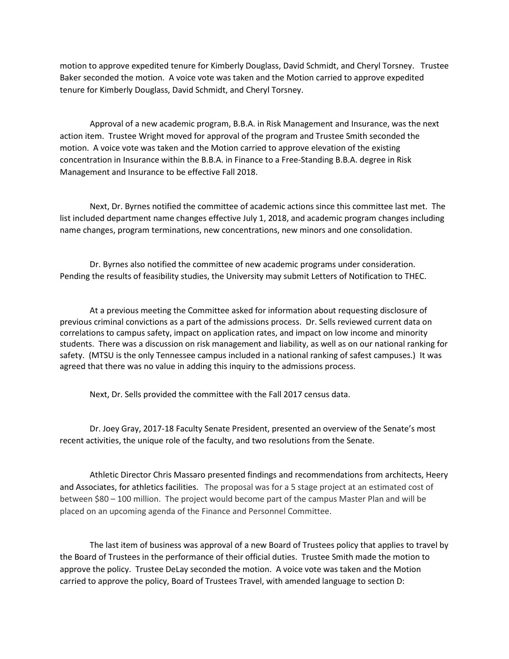motion to approve expedited tenure for Kimberly Douglass, David Schmidt, and Cheryl Torsney. Trustee Baker seconded the motion. A voice vote was taken and the Motion carried to approve expedited tenure for Kimberly Douglass, David Schmidt, and Cheryl Torsney.

Approval of a new academic program, B.B.A. in Risk Management and Insurance, was the next action item. Trustee Wright moved for approval of the program and Trustee Smith seconded the motion. A voice vote was taken and the Motion carried to approve elevation of the existing concentration in Insurance within the B.B.A. in Finance to a Free-Standing B.B.A. degree in Risk Management and Insurance to be effective Fall 2018.

Next, Dr. Byrnes notified the committee of academic actions since this committee last met. The list included department name changes effective July 1, 2018, and academic program changes including name changes, program terminations, new concentrations, new minors and one consolidation.

Dr. Byrnes also notified the committee of new academic programs under consideration. Pending the results of feasibility studies, the University may submit Letters of Notification to THEC.

At a previous meeting the Committee asked for information about requesting disclosure of previous criminal convictions as a part of the admissions process. Dr. Sells reviewed current data on correlations to campus safety, impact on application rates, and impact on low income and minority students. There was a discussion on risk management and liability, as well as on our national ranking for safety. (MTSU is the only Tennessee campus included in a national ranking of safest campuses.) It was agreed that there was no value in adding this inquiry to the admissions process.

Next, Dr. Sells provided the committee with the Fall 2017 census data.

Dr. Joey Gray, 2017-18 Faculty Senate President, presented an overview of the Senate's most recent activities, the unique role of the faculty, and two resolutions from the Senate.

Athletic Director Chris Massaro presented findings and recommendations from architects, Heery and Associates, for athletics facilities. The proposal was for a 5 stage project at an estimated cost of between \$80 – 100 million. The project would become part of the campus Master Plan and will be placed on an upcoming agenda of the Finance and Personnel Committee.

The last item of business was approval of a new Board of Trustees policy that applies to travel by the Board of Trustees in the performance of their official duties. Trustee Smith made the motion to approve the policy. Trustee DeLay seconded the motion. A voice vote was taken and the Motion carried to approve the policy, Board of Trustees Travel, with amended language to section D: